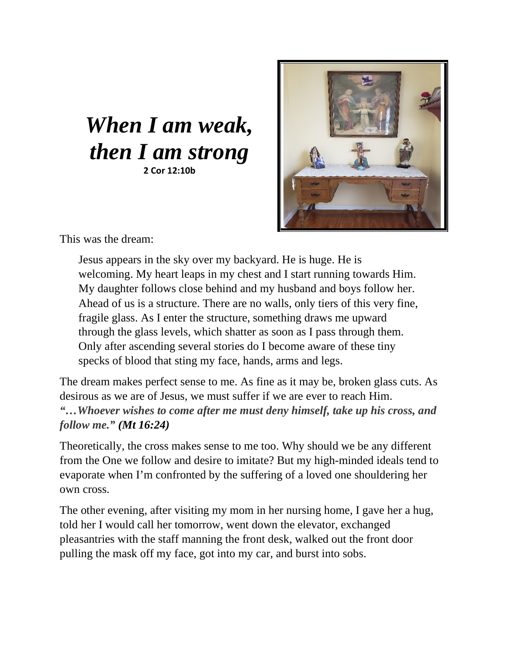## *When I am weak, then I am strong* **2 Cor 12:10b**



This was the dream:

Jesus appears in the sky over my backyard. He is huge. He is welcoming. My heart leaps in my chest and I start running towards Him. My daughter follows close behind and my husband and boys follow her. Ahead of us is a structure. There are no walls, only tiers of this very fine, fragile glass. As I enter the structure, something draws me upward through the glass levels, which shatter as soon as I pass through them. Only after ascending several stories do I become aware of these tiny specks of blood that sting my face, hands, arms and legs.

The dream makes perfect sense to me. As fine as it may be, broken glass cuts. As desirous as we are of Jesus, we must suffer if we are ever to reach Him. *"…Whoever wishes to come after me must deny himself, take up his cross, and follow me." (Mt 16:24)* 

Theoretically, the cross makes sense to me too. Why should we be any different from the One we follow and desire to imitate? But my high-minded ideals tend to evaporate when I'm confronted by the suffering of a loved one shouldering her own cross.

The other evening, after visiting my mom in her nursing home, I gave her a hug, told her I would call her tomorrow, went down the elevator, exchanged pleasantries with the staff manning the front desk, walked out the front door pulling the mask off my face, got into my car, and burst into sobs.